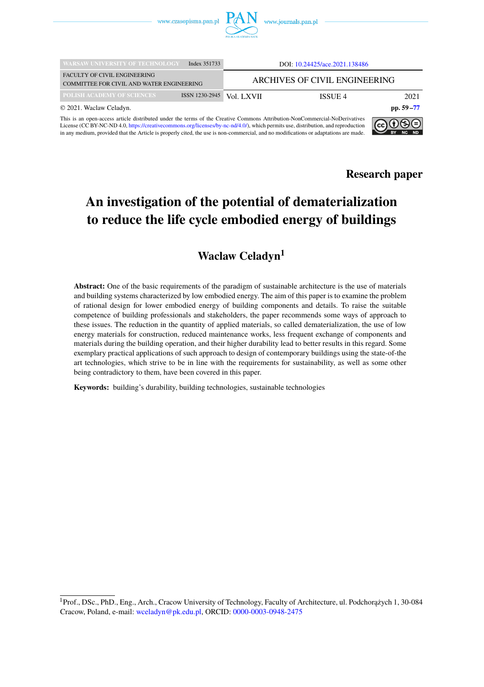

| <b>WARSAW UNIVERSITY OF TECHNOLOGY</b>                                                                                                                                                                                                                                                                                                                                                                                                                | Index 351733   |                               | DOI: 10.24425/ace.2021.138486 |               |
|-------------------------------------------------------------------------------------------------------------------------------------------------------------------------------------------------------------------------------------------------------------------------------------------------------------------------------------------------------------------------------------------------------------------------------------------------------|----------------|-------------------------------|-------------------------------|---------------|
| <b>FACULTY OF CIVIL ENGINEERING</b><br>COMMITTEE FOR CIVIL AND WATER ENGINEERING                                                                                                                                                                                                                                                                                                                                                                      |                | ARCHIVES OF CIVIL ENGINEERING |                               |               |
| POLISH ACADEMY OF SCIENCES                                                                                                                                                                                                                                                                                                                                                                                                                            | ISSN 1230-2945 | Vol. LXVII                    | ISSUE 4                       | 2021          |
| © 2021. Waclaw Celadyn.                                                                                                                                                                                                                                                                                                                                                                                                                               |                |                               |                               | pp. $59 - 77$ |
| This is an open-access article distributed under the terms of the Creative Commons Attribution-NonCommercial-NoDerivatives<br>l <b>ଇ</b> ଲକା<br>$\mathbf{I}$ is a set of $\mathbf{O}$ $\mathbf{N}$ $\mathbf{O}$ $\mathbf{A}$ $\mathbf{O}$ $\mathbf{I}$ and $\mathbf{H}$ and $\mathbf{H}$ and $\mathbf{I}$ are $\mathbf{H}$ and $\mathbf{I}$ and $\mathbf{O}$ and $\mathbf{H}$ and $\mathbf{H}$ and $\mathbf{H}$ and $\mathbf{H}$ and $\mathbf{H}$ and |                |                               |                               |               |

License (CC BY-NC-ND 4.0, [https://creativecommons.org/licenses/by-nc-nd/4.0/\)](https://creativecommons.org/licenses/by-nc-nd/4.0/), which permits use, distribution, and reproduction in any medium, provided that the Article is properly cited, the use is non-commercial, and no modifications or adaptations are made.



BY NC ND

# **An investigation of the potential of dematerialization to reduce the life cycle embodied energy of buildings**

### **Waclaw Celadyn<sup>1</sup>**

**Abstract:** One of the basic requirements of the paradigm of sustainable architecture is the use of materials and building systems characterized by low embodied energy. The aim of this paper is to examine the problem of rational design for lower embodied energy of building components and details. To raise the suitable competence of building professionals and stakeholders, the paper recommends some ways of approach to these issues. The reduction in the quantity of applied materials, so called dematerialization, the use of low energy materials for construction, reduced maintenance works, less frequent exchange of components and materials during the building operation, and their higher durability lead to better results in this regard. Some exemplary practical applications of such approach to design of contemporary buildings using the state-of-the art technologies, which strive to be in line with the requirements for sustainability, as well as some other being contradictory to them, have been covered in this paper.

**Keywords:** building's durability, building technologies, sustainable technologies

<sup>&</sup>lt;sup>1</sup> Prof., DSc., PhD., Eng., Arch., Cracow University of Technology, Faculty of Architecture, ul. Podchorażych 1, 30-084 Cracow, Poland, e-mail: [wceladyn@pk.edu.pl,](mailto:wceladyn@pk.edu.pl) ORCID: [0000-0003-0948-2475](https://orcid.org/0000-0003-0948-2475)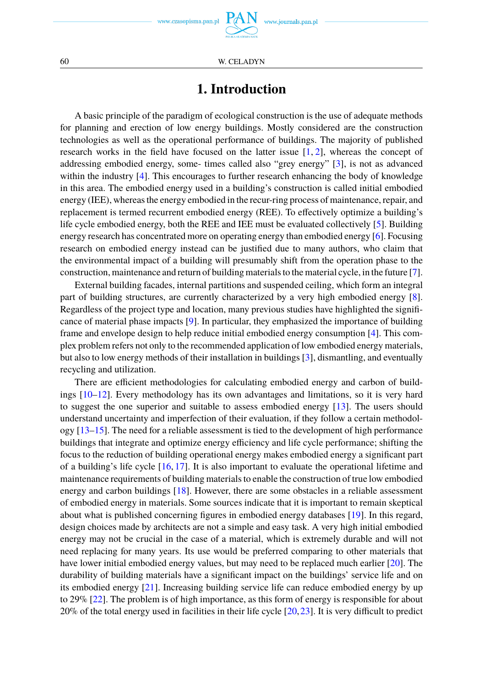www.journals.pan.pl

60 W. CELADYN

# **1. Introduction**

A basic principle of the paradigm of ecological construction is the use of adequate methods for planning and erection of low energy buildings. Mostly considered are the construction technologies as well as the operational performance of buildings. The majority of published research works in the field have focused on the latter issue  $[1, 2]$  $[1, 2]$  $[1, 2]$ , whereas the concept of addressing embodied energy, some- times called also "grey energy" [\[3\]](#page-15-2), is not as advanced within the industry [\[4\]](#page-15-3). This encourages to further research enhancing the body of knowledge in this area. The embodied energy used in a building's construction is called initial embodied energy (IEE), whereas the energy embodied in the recur-ring process of maintenance, repair, and replacement is termed recurrent embodied energy (REE). To effectively optimize a building's life cycle embodied energy, both the REE and IEE must be evaluated collectively [\[5\]](#page-15-4). Building energy research has concentrated more on operating energy than embodied energy [\[6\]](#page-15-5). Focusing research on embodied energy instead can be justified due to many authors, who claim that the environmental impact of a building will presumably shift from the operation phase to the construction, maintenance and return of building materials to the material cycle, in the future [\[7\]](#page-16-0).

External building facades, internal partitions and suspended ceiling, which form an integral part of building structures, are currently characterized by a very high embodied energy [\[8\]](#page-16-1). Regardless of the project type and location, many previous studies have highlighted the significance of material phase impacts [\[9\]](#page-16-2). In particular, they emphasized the importance of building frame and envelope design to help reduce initial embodied energy consumption [\[4\]](#page-15-3). This complex problem refers not only to the recommended application of low embodied energy materials, but also to low energy methods of their installation in buildings [\[3\]](#page-15-2), dismantling, and eventually recycling and utilization.

There are efficient methodologies for calculating embodied energy and carbon of buildings [\[10](#page-16-3)[–12\]](#page-16-4). Every methodology has its own advantages and limitations, so it is very hard to suggest the one superior and suitable to assess embodied energy [\[13\]](#page-16-5). The users should understand uncertainty and imperfection of their evaluation, if they follow a certain methodology [\[13](#page-16-5)[–15\]](#page-16-6). The need for a reliable assessment is tied to the development of high performance buildings that integrate and optimize energy efficiency and life cycle performance; shifting the focus to the reduction of building operational energy makes embodied energy a significant part of a building's life cycle  $[16, 17]$  $[16, 17]$  $[16, 17]$ . It is also important to evaluate the operational lifetime and maintenance requirements of building materials to enable the construction of true low embodied energy and carbon buildings [\[18\]](#page-16-9). However, there are some obstacles in a reliable assessment of embodied energy in materials. Some sources indicate that it is important to remain skeptical about what is published concerning figures in embodied energy databases [\[19\]](#page-16-10). In this regard, design choices made by architects are not a simple and easy task. A very high initial embodied energy may not be crucial in the case of a material, which is extremely durable and will not need replacing for many years. Its use would be preferred comparing to other materials that have lower initial embodied energy values, but may need to be replaced much earlier [\[20\]](#page-16-11). The durability of building materials have a significant impact on the buildings' service life and on its embodied energy [\[21\]](#page-16-12). Increasing building service life can reduce embodied energy by up to 29% [\[22\]](#page-16-13). The problem is of high importance, as this form of energy is responsible for about 20% of the total energy used in facilities in their life cycle [\[20,](#page-16-11)[23\]](#page-16-14). It is very difficult to predict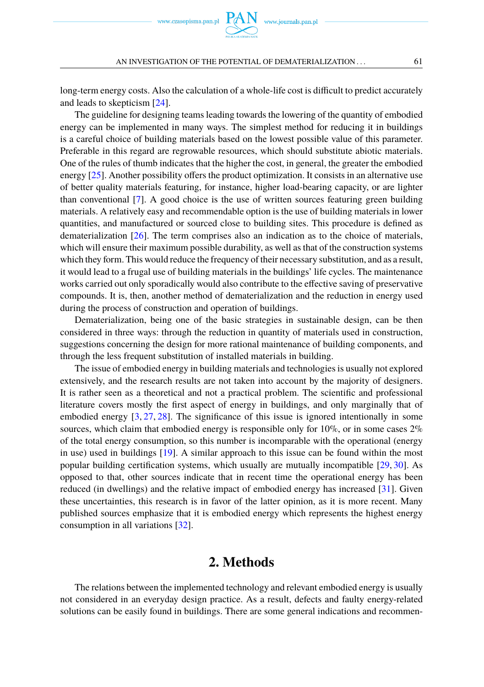

AN INVESTIGATION OF THE POTENTIAL OF DEMATERIALIZATION... 61

long-term energy costs. Also the calculation of a whole-life cost is difficult to predict accurately and leads to skepticism [\[24\]](#page-16-15).

The guideline for designing teams leading towards the lowering of the quantity of embodied energy can be implemented in many ways. The simplest method for reducing it in buildings is a careful choice of building materials based on the lowest possible value of this parameter. Preferable in this regard are regrowable resources, which should substitute abiotic materials. One of the rules of thumb indicates that the higher the cost, in general, the greater the embodied energy [\[25\]](#page-16-16). Another possibility offers the product optimization. It consists in an alternative use of better quality materials featuring, for instance, higher load-bearing capacity, or are lighter than conventional [\[7\]](#page-16-0). A good choice is the use of written sources featuring green building materials. A relatively easy and recommendable option is the use of building materials in lower quantities, and manufactured or sourced close to building sites. This procedure is defined as dematerialization [\[26\]](#page-16-17). The term comprises also an indication as to the choice of materials, which will ensure their maximum possible durability, as well as that of the construction systems which they form. This would reduce the frequency of their necessary substitution, and as a result, it would lead to a frugal use of building materials in the buildings' life cycles. The maintenance works carried out only sporadically would also contribute to the effective saving of preservative compounds. It is, then, another method of dematerialization and the reduction in energy used during the process of construction and operation of buildings.

Dematerialization, being one of the basic strategies in sustainable design, can be then considered in three ways: through the reduction in quantity of materials used in construction, suggestions concerning the design for more rational maintenance of building components, and through the less frequent substitution of installed materials in building.

The issue of embodied energy in building materials and technologies is usually not explored extensively, and the research results are not taken into account by the majority of designers. It is rather seen as a theoretical and not a practical problem. The scientific and professional literature covers mostly the first aspect of energy in buildings, and only marginally that of embodied energy [\[3,](#page-15-2) [27,](#page-16-18) [28\]](#page-16-19). The significance of this issue is ignored intentionally in some sources, which claim that embodied energy is responsible only for  $10\%$ , or in some cases  $2\%$ of the total energy consumption, so this number is incomparable with the operational (energy in use) used in buildings [\[19\]](#page-16-10). A similar approach to this issue can be found within the most popular building certification systems, which usually are mutually incompatible [\[29,](#page-16-20) [30\]](#page-16-21). As opposed to that, other sources indicate that in recent time the operational energy has been reduced (in dwellings) and the relative impact of embodied energy has increased [\[31\]](#page-16-22). Given these uncertainties, this research is in favor of the latter opinion, as it is more recent. Many published sources emphasize that it is embodied energy which represents the highest energy consumption in all variations [\[32\]](#page-17-1).

### **2. Methods**

The relations between the implemented technology and relevant embodied energy is usually not considered in an everyday design practice. As a result, defects and faulty energy-related solutions can be easily found in buildings. There are some general indications and recommen-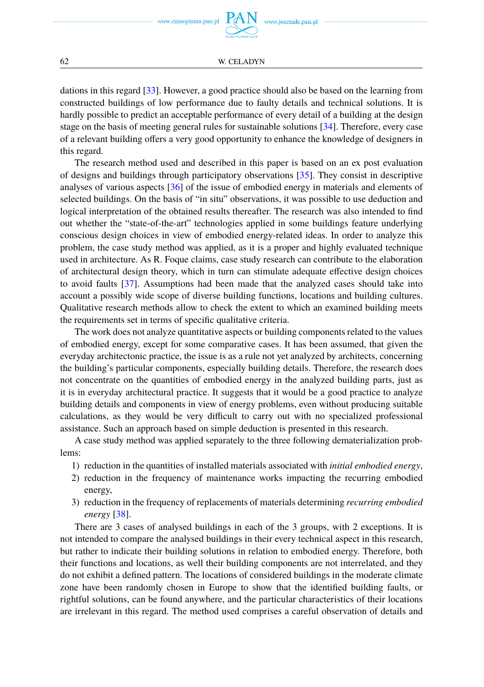dations in this regard [\[33\]](#page-17-2). However, a good practice should also be based on the learning from constructed buildings of low performance due to faulty details and technical solutions. It is hardly possible to predict an acceptable performance of every detail of a building at the design stage on the basis of meeting general rules for sustainable solutions [\[34\]](#page-17-3). Therefore, every case of a relevant building offers a very good opportunity to enhance the knowledge of designers in this regard.

The research method used and described in this paper is based on an ex post evaluation of designs and buildings through participatory observations [\[35\]](#page-17-4). They consist in descriptive analyses of various aspects [\[36\]](#page-17-5) of the issue of embodied energy in materials and elements of selected buildings. On the basis of "in situ" observations, it was possible to use deduction and logical interpretation of the obtained results thereafter. The research was also intended to find out whether the "state-of-the-art" technologies applied in some buildings feature underlying conscious design choices in view of embodied energy-related ideas. In order to analyze this problem, the case study method was applied, as it is a proper and highly evaluated technique used in architecture. As R. Foque claims, case study research can contribute to the elaboration of architectural design theory, which in turn can stimulate adequate effective design choices to avoid faults [\[37\]](#page-17-6). Assumptions had been made that the analyzed cases should take into account a possibly wide scope of diverse building functions, locations and building cultures. Qualitative research methods allow to check the extent to which an examined building meets the requirements set in terms of specific qualitative criteria.

The work does not analyze quantitative aspects or building components related to the values of embodied energy, except for some comparative cases. It has been assumed, that given the everyday architectonic practice, the issue is as a rule not yet analyzed by architects, concerning the building's particular components, especially building details. Therefore, the research does not concentrate on the quantities of embodied energy in the analyzed building parts, just as it is in everyday architectural practice. It suggests that it would be a good practice to analyze building details and components in view of energy problems, even without producing suitable calculations, as they would be very difficult to carry out with no specialized professional assistance. Such an approach based on simple deduction is presented in this research.

A case study method was applied separately to the three following dematerialization problems:

- 1) reduction in the quantities of installed materials associated with *initial embodied energy*,
- 2) reduction in the frequency of maintenance works impacting the recurring embodied energy,
- 3) reduction in the frequency of replacements of materials determining *recurring embodied energy* [\[38\]](#page-17-7).

There are 3 cases of analysed buildings in each of the 3 groups, with 2 exceptions. It is not intended to compare the analysed buildings in their every technical aspect in this research, but rather to indicate their building solutions in relation to embodied energy. Therefore, both their functions and locations, as well their building components are not interrelated, and they do not exhibit a defined pattern. The locations of considered buildings in the moderate climate zone have been randomly chosen in Europe to show that the identified building faults, or rightful solutions, can be found anywhere, and the particular characteristics of their locations are irrelevant in this regard. The method used comprises a careful observation of details and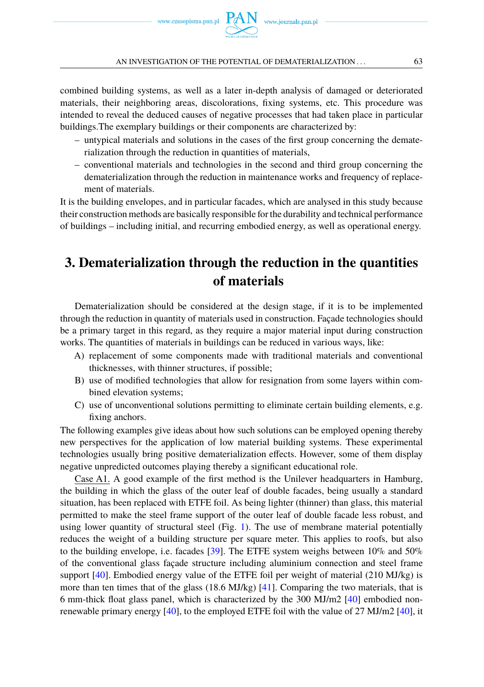combined building systems, as well as a later in-depth analysis of damaged or deteriorated materials, their neighboring areas, discolorations, fixing systems, etc. This procedure was intended to reveal the deduced causes of negative processes that had taken place in particular buildings.The exemplary buildings or their components are characterized by:

- untypical materials and solutions in the cases of the first group concerning the dematerialization through the reduction in quantities of materials,
- conventional materials and technologies in the second and third group concerning the dematerialization through the reduction in maintenance works and frequency of replacement of materials.

It is the building envelopes, and in particular facades, which are analysed in this study because their construction methods are basically responsible for the durability and technical performance of buildings – including initial, and recurring embodied energy, as well as operational energy.

# **3. Dematerialization through the reduction in the quantities of materials**

Dematerialization should be considered at the design stage, if it is to be implemented through the reduction in quantity of materials used in construction. Façade technologies should be a primary target in this regard, as they require a major material input during construction works. The quantities of materials in buildings can be reduced in various ways, like:

- A) replacement of some components made with traditional materials and conventional thicknesses, with thinner structures, if possible;
- B) use of modified technologies that allow for resignation from some layers within combined elevation systems;
- C) use of unconventional solutions permitting to eliminate certain building elements, e.g. fixing anchors.

The following examples give ideas about how such solutions can be employed opening thereby new perspectives for the application of low material building systems. These experimental technologies usually bring positive dematerialization effects. However, some of them display negative unpredicted outcomes playing thereby a significant educational role.

Case A1. A good example of the first method is the Unilever headquarters in Hamburg, the building in which the glass of the outer leaf of double facades, being usually a standard situation, has been replaced with ETFE foil. As being lighter (thinner) than glass, this material permitted to make the steel frame support of the outer leaf of double facade less robust, and using lower quantity of structural steel (Fig. [1\)](#page-5-0). The use of membrane material potentially reduces the weight of a building structure per square meter. This applies to roofs, but also to the building envelope, i.e. facades [\[39\]](#page-17-8). The ETFE system weighs between 10% and 50% of the conventional glass façade structure including aluminium connection and steel frame support [\[40\]](#page-17-9). Embodied energy value of the ETFE foil per weight of material (210 MJ/kg) is more than ten times that of the glass (18.6 MJ/kg) [\[41\]](#page-17-10). Comparing the two materials, that is 6 mm-thick float glass panel, which is characterized by the 300 MJ/m2 [\[40\]](#page-17-9) embodied nonrenewable primary energy [\[40\]](#page-17-9), to the employed ETFE foil with the value of 27 MJ/m2 [\[40\]](#page-17-9), it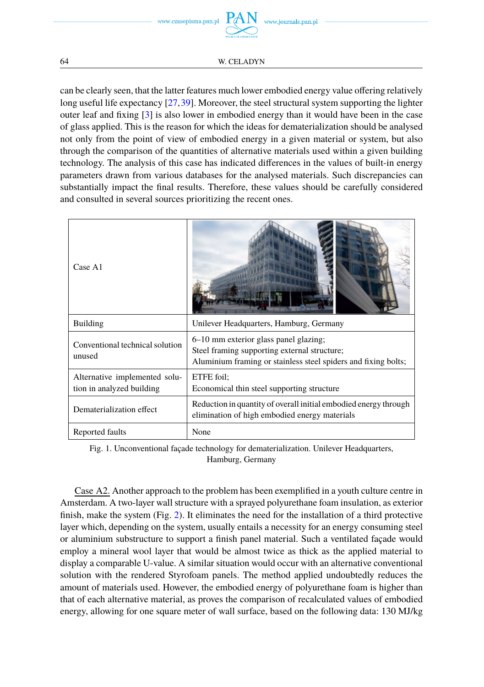

can be clearly seen, that the latter features much lower embodied energy value offering relatively long useful life expectancy [\[27,](#page-16-18)[39\]](#page-17-8). Moreover, the steel structural system supporting the lighter outer leaf and fixing [\[3\]](#page-15-2) is also lower in embodied energy than it would have been in the case of glass applied. This is the reason for which the ideas for dematerialization should be analysed not only from the point of view of embodied energy in a given material or system, but also through the comparison of the quantities of alternative materials used within a given building technology. The analysis of this case has indicated differences in the values of built-in energy parameters drawn from various databases for the analysed materials. Such discrepancies can substantially impact the final results. Therefore, these values should be carefully considered and consulted in several sources prioritizing the recent ones.

<span id="page-5-0"></span>

| Case A1                                                    |                                                                                                                                                         |
|------------------------------------------------------------|---------------------------------------------------------------------------------------------------------------------------------------------------------|
| <b>Building</b>                                            | Unilever Headquarters, Hamburg, Germany                                                                                                                 |
| Conventional technical solution<br>unused                  | 6–10 mm exterior glass panel glazing;<br>Steel framing supporting external structure;<br>Aluminium framing or stainless steel spiders and fixing bolts; |
| Alternative implemented solu-<br>tion in analyzed building | ETFE foil:<br>Economical thin steel supporting structure                                                                                                |
| Dematerialization effect                                   | Reduction in quantity of overall initial embodied energy through<br>elimination of high embodied energy materials                                       |
| Reported faults                                            | None                                                                                                                                                    |

Fig. 1. Unconventional façade technology for dematerialization. Unilever Headquarters, Hamburg, Germany

Case A2. Another approach to the problem has been exemplified in a youth culture centre in Amsterdam. A two-layer wall structure with a sprayed polyurethane foam insulation, as exterior finish, make the system (Fig. [2\)](#page-6-0). It eliminates the need for the installation of a third protective layer which, depending on the system, usually entails a necessity for an energy consuming steel or aluminium substructure to support a finish panel material. Such a ventilated façade would employ a mineral wool layer that would be almost twice as thick as the applied material to display a comparable U-value. A similar situation would occur with an alternative conventional solution with the rendered Styrofoam panels. The method applied undoubtedly reduces the amount of materials used. However, the embodied energy of polyurethane foam is higher than that of each alternative material, as proves the comparison of recalculated values of embodied energy, allowing for one square meter of wall surface, based on the following data: 130 MJ/kg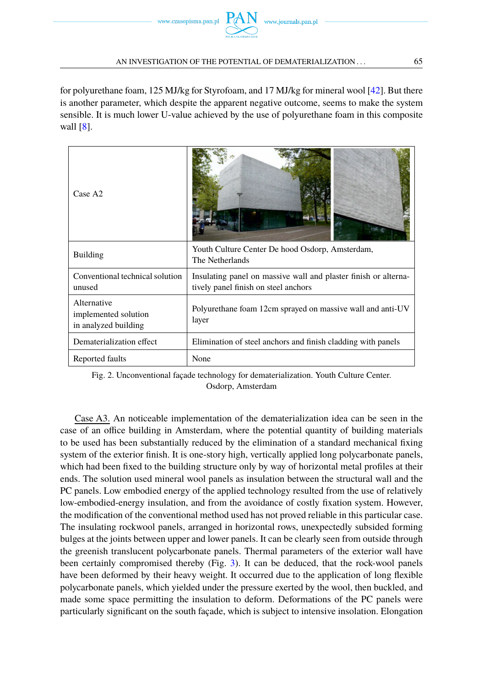for polyurethane foam, 125 MJ/kg for Styrofoam, and 17 MJ/kg for mineral wool [\[42\]](#page-17-11). But there is another parameter, which despite the apparent negative outcome, seems to make the system sensible. It is much lower U-value achieved by the use of polyurethane foam in this composite wall [\[8\]](#page-16-1).

<span id="page-6-0"></span>

| Case A2                                                     |                                                                                                         |
|-------------------------------------------------------------|---------------------------------------------------------------------------------------------------------|
| <b>Building</b>                                             | Youth Culture Center De hood Osdorp, Amsterdam,<br>The Netherlands                                      |
| Conventional technical solution<br>unused                   | Insulating panel on massive wall and plaster finish or alterna-<br>tively panel finish on steel anchors |
| Alternative<br>implemented solution<br>in analyzed building | Polyurethane foam 12cm sprayed on massive wall and anti-UV<br>layer                                     |
| Dematerialization effect                                    | Elimination of steel anchors and finish cladding with panels                                            |
| Reported faults                                             | None                                                                                                    |

Fig. 2. Unconventional façade technology for dematerialization. Youth Culture Center. Osdorp, Amsterdam

Case A3. An noticeable implementation of the dematerialization idea can be seen in the case of an office building in Amsterdam, where the potential quantity of building materials to be used has been substantially reduced by the elimination of a standard mechanical fixing system of the exterior finish. It is one-story high, vertically applied long polycarbonate panels, which had been fixed to the building structure only by way of horizontal metal profiles at their ends. The solution used mineral wool panels as insulation between the structural wall and the PC panels. Low embodied energy of the applied technology resulted from the use of relatively low-embodied-energy insulation, and from the avoidance of costly fixation system. However, the modification of the conventional method used has not proved reliable in this particular case. The insulating rockwool panels, arranged in horizontal rows, unexpectedly subsided forming bulges at the joints between upper and lower panels. It can be clearly seen from outside through the greenish translucent polycarbonate panels. Thermal parameters of the exterior wall have been certainly compromised thereby (Fig. [3\)](#page-7-0). It can be deduced, that the rock-wool panels have been deformed by their heavy weight. It occurred due to the application of long flexible polycarbonate panels, which yielded under the pressure exerted by the wool, then buckled, and made some space permitting the insulation to deform. Deformations of the PC panels were particularly significant on the south façade, which is subject to intensive insolation. Elongation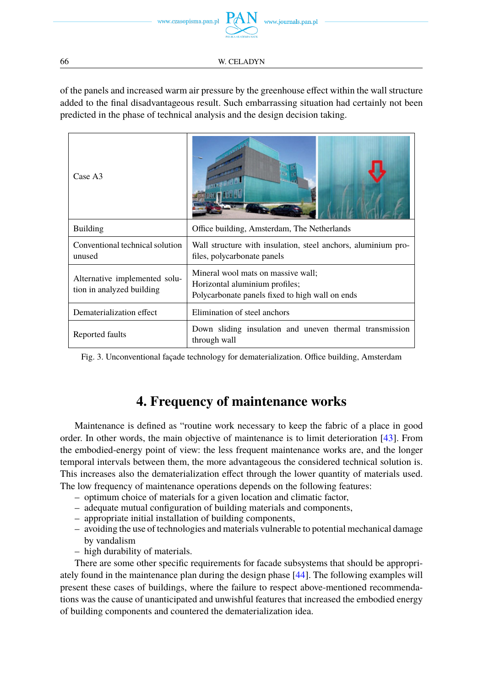of the panels and increased warm air pressure by the greenhouse effect within the wall structure added to the final disadvantageous result. Such embarrassing situation had certainly not been predicted in the phase of technical analysis and the design decision taking.

<span id="page-7-0"></span>

| Case A3                                                    |                                                                                                                         |
|------------------------------------------------------------|-------------------------------------------------------------------------------------------------------------------------|
| <b>Building</b>                                            | Office building, Amsterdam, The Netherlands                                                                             |
| Conventional technical solution<br>unused                  | Wall structure with insulation, steel anchors, aluminium pro-<br>files, polycarbonate panels                            |
| Alternative implemented solu-<br>tion in analyzed building | Mineral wool mats on massive wall;<br>Horizontal aluminium profiles;<br>Polycarbonate panels fixed to high wall on ends |
| Dematerialization effect                                   | Elimination of steel anchors                                                                                            |
| Reported faults                                            | Down sliding insulation and uneven thermal transmission<br>through wall                                                 |

Fig. 3. Unconventional façade technology for dematerialization. Office building, Amsterdam

## **4. Frequency of maintenance works**

Maintenance is defined as "routine work necessary to keep the fabric of a place in good order. In other words, the main objective of maintenance is to limit deterioration [\[43\]](#page-17-12). From the embodied-energy point of view: the less frequent maintenance works are, and the longer temporal intervals between them, the more advantageous the considered technical solution is. This increases also the dematerialization effect through the lower quantity of materials used. The low frequency of maintenance operations depends on the following features:

- optimum choice of materials for a given location and climatic factor,
- adequate mutual configuration of building materials and components,
- appropriate initial installation of building components,
- avoiding the use of technologies and materials vulnerable to potential mechanical damage by vandalism
- high durability of materials.

There are some other specific requirements for facade subsystems that should be appropriately found in the maintenance plan during the design phase [\[44\]](#page-17-13). The following examples will present these cases of buildings, where the failure to respect above-mentioned recommendations was the cause of unanticipated and unwishful features that increased the embodied energy of building components and countered the dematerialization idea.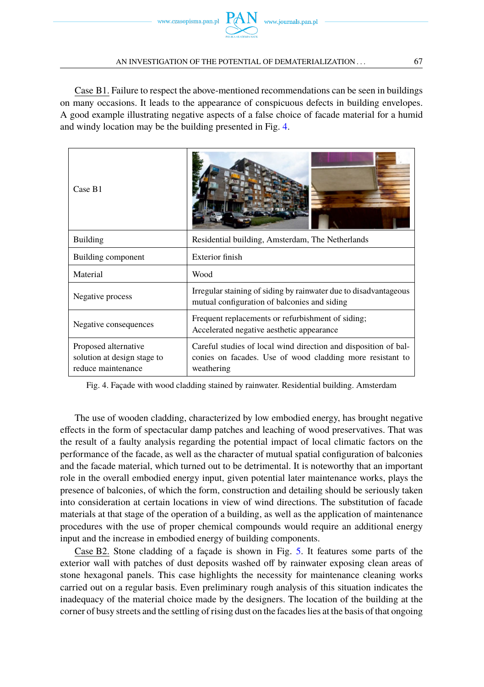

#### AN INVESTIGATION OF THE POTENTIAL OF DEMATERIALIZATION . . . 67

Case B1. Failure to respect the above-mentioned recommendations can be seen in buildings on many occasions. It leads to the appearance of conspicuous defects in building envelopes. A good example illustrating negative aspects of a false choice of facade material for a humid and windy location may be the building presented in Fig. [4.](#page-8-0)

<span id="page-8-0"></span>

| Case B1                                                                   |                                                                                                                                            |
|---------------------------------------------------------------------------|--------------------------------------------------------------------------------------------------------------------------------------------|
| <b>Building</b>                                                           | Residential building, Amsterdam, The Netherlands                                                                                           |
| Building component                                                        | Exterior finish                                                                                                                            |
| Material                                                                  | Wood                                                                                                                                       |
| Negative process                                                          | Irregular staining of siding by rainwater due to disadvantageous<br>mutual configuration of balconies and siding                           |
| Negative consequences                                                     | Frequent replacements or refurbishment of siding;<br>Accelerated negative aesthetic appearance                                             |
| Proposed alternative<br>solution at design stage to<br>reduce maintenance | Careful studies of local wind direction and disposition of bal-<br>conies on facades. Use of wood cladding more resistant to<br>weathering |

Fig. 4. Façade with wood cladding stained by rainwater. Residential building. Amsterdam

The use of wooden cladding, characterized by low embodied energy, has brought negative effects in the form of spectacular damp patches and leaching of wood preservatives. That was the result of a faulty analysis regarding the potential impact of local climatic factors on the performance of the facade, as well as the character of mutual spatial configuration of balconies and the facade material, which turned out to be detrimental. It is noteworthy that an important role in the overall embodied energy input, given potential later maintenance works, plays the presence of balconies, of which the form, construction and detailing should be seriously taken into consideration at certain locations in view of wind directions. The substitution of facade materials at that stage of the operation of a building, as well as the application of maintenance procedures with the use of proper chemical compounds would require an additional energy input and the increase in embodied energy of building components.

Case B2. Stone cladding of a façade is shown in Fig. [5.](#page-9-0) It features some parts of the exterior wall with patches of dust deposits washed off by rainwater exposing clean areas of stone hexagonal panels. This case highlights the necessity for maintenance cleaning works carried out on a regular basis. Even preliminary rough analysis of this situation indicates the inadequacy of the material choice made by the designers. The location of the building at the corner of busy streets and the settling of rising dust on the facades lies at the basis of that ongoing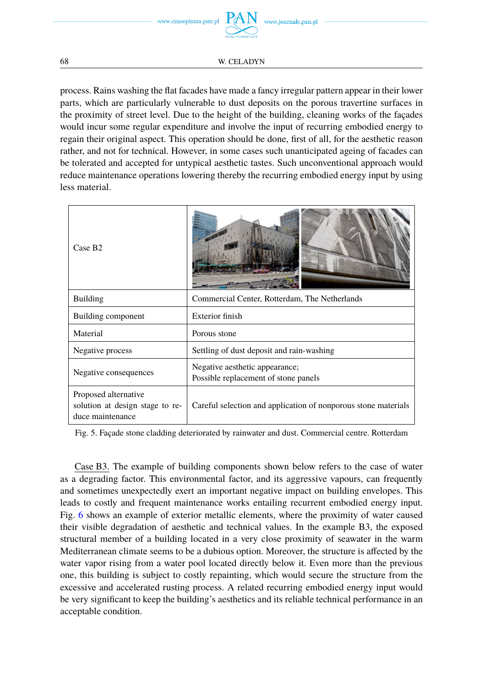

process. Rains washing the flat facades have made a fancy irregular pattern appear in their lower parts, which are particularly vulnerable to dust deposits on the porous travertine surfaces in the proximity of street level. Due to the height of the building, cleaning works of the façades would incur some regular expenditure and involve the input of recurring embodied energy to regain their original aspect. This operation should be done, first of all, for the aesthetic reason rather, and not for technical. However, in some cases such unanticipated ageing of facades can be tolerated and accepted for untypical aesthetic tastes. Such unconventional approach would reduce maintenance operations lowering thereby the recurring embodied energy input by using less material.

<span id="page-9-0"></span>

| Case B <sub>2</sub>                                                         |                                                                        |
|-----------------------------------------------------------------------------|------------------------------------------------------------------------|
| <b>Building</b>                                                             | Commercial Center, Rotterdam, The Netherlands                          |
| Building component                                                          | Exterior finish                                                        |
| Material                                                                    | Porous stone                                                           |
| Negative process                                                            | Settling of dust deposit and rain-washing                              |
| Negative consequences                                                       | Negative aesthetic appearance;<br>Possible replacement of stone panels |
| Proposed alternative<br>solution at design stage to re-<br>duce maintenance | Careful selection and application of nonporous stone materials         |

Fig. 5. Façade stone cladding deteriorated by rainwater and dust. Commercial centre. Rotterdam

Case B3. The example of building components shown below refers to the case of water as a degrading factor. This environmental factor, and its aggressive vapours, can frequently and sometimes unexpectedly exert an important negative impact on building envelopes. This leads to costly and frequent maintenance works entailing recurrent embodied energy input. Fig. [6](#page-10-0) shows an example of exterior metallic elements, where the proximity of water caused their visible degradation of aesthetic and technical values. In the example B3, the exposed structural member of a building located in a very close proximity of seawater in the warm Mediterranean climate seems to be a dubious option. Moreover, the structure is affected by the water vapor rising from a water pool located directly below it. Even more than the previous one, this building is subject to costly repainting, which would secure the structure from the excessive and accelerated rusting process. A related recurring embodied energy input would be very significant to keep the building's aesthetics and its reliable technical performance in an acceptable condition.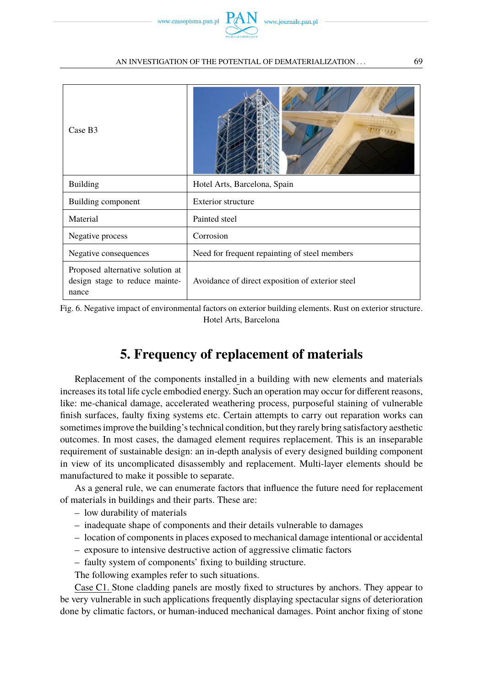

# <span id="page-10-0"></span>Case B3 Building **Hotel Arts**, Barcelona, Spain Building component Exterior structure Material Painted steel Negative process Corrosion Negative consequences <br>Need for frequent repainting of steel members Proposed alternative solution at design stage to reduce maintenance Avoidance of direct exposition of exterior steel



# **5. Frequency of replacement of materials**

Replacement of the components installed in a building with new elements and materials increases its total life cycle embodied energy. Such an operation may occur for different reasons, like: me-chanical damage, accelerated weathering process, purposeful staining of vulnerable finish surfaces, faulty fixing systems etc. Certain attempts to carry out reparation works can sometimes improve the building's technical condition, but they rarely bring satisfactory aesthetic outcomes. In most cases, the damaged element requires replacement. This is an inseparable requirement of sustainable design: an in-depth analysis of every designed building component in view of its uncomplicated disassembly and replacement. Multi-layer elements should be manufactured to make it possible to separate.

As a general rule, we can enumerate factors that influence the future need for replacement of materials in buildings and their parts. These are:

- low durability of materials
- inadequate shape of components and their details vulnerable to damages
- location of components in places exposed to mechanical damage intentional or accidental
- exposure to intensive destructive action of aggressive climatic factors
- faulty system of components' fixing to building structure.

The following examples refer to such situations.

Case C1. Stone cladding panels are mostly fixed to structures by anchors. They appear to be very vulnerable in such applications frequently displaying spectacular signs of deterioration done by climatic factors, or human-induced mechanical damages. Point anchor fixing of stone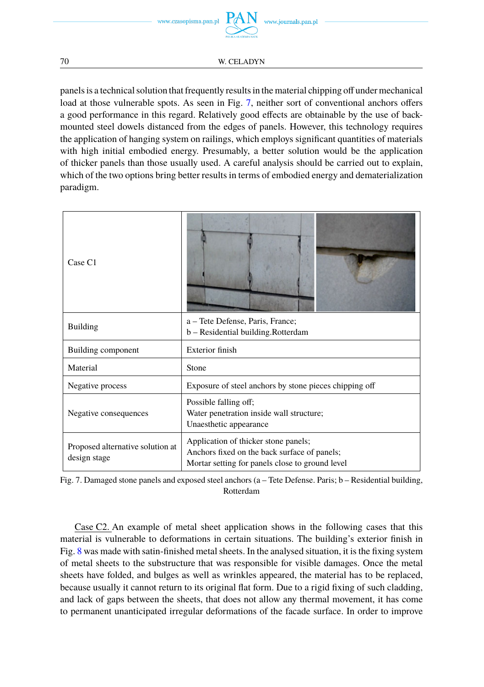

panels is a technical solution that frequently results in the material chipping off under mechanical load at those vulnerable spots. As seen in Fig. [7,](#page-11-0) neither sort of conventional anchors offers a good performance in this regard. Relatively good effects are obtainable by the use of backmounted steel dowels distanced from the edges of panels. However, this technology requires the application of hanging system on railings, which employs significant quantities of materials with high initial embodied energy. Presumably, a better solution would be the application of thicker panels than those usually used. A careful analysis should be carried out to explain, which of the two options bring better results in terms of embodied energy and dematerialization paradigm.

<span id="page-11-0"></span>

| Case C1                                          |                                                                                                                                         |
|--------------------------------------------------|-----------------------------------------------------------------------------------------------------------------------------------------|
| <b>Building</b>                                  | a – Tete Defense, Paris, France;<br>b - Residential building. Rotterdam                                                                 |
| Building component                               | Exterior finish                                                                                                                         |
| Material                                         | Stone                                                                                                                                   |
| Negative process                                 | Exposure of steel anchors by stone pieces chipping off                                                                                  |
| Negative consequences                            | Possible falling off;<br>Water penetration inside wall structure;<br>Unaesthetic appearance                                             |
| Proposed alternative solution at<br>design stage | Application of thicker stone panels;<br>Anchors fixed on the back surface of panels;<br>Mortar setting for panels close to ground level |

Fig. 7. Damaged stone panels and exposed steel anchors (a – Tete Defense. Paris; b – Residential building, Rotterdam

Case C2. An example of metal sheet application shows in the following cases that this material is vulnerable to deformations in certain situations. The building's exterior finish in Fig. [8](#page-12-0) was made with satin-finished metal sheets. In the analysed situation, it is the fixing system of metal sheets to the substructure that was responsible for visible damages. Once the metal sheets have folded, and bulges as well as wrinkles appeared, the material has to be replaced, because usually it cannot return to its original flat form. Due to a rigid fixing of such cladding, and lack of gaps between the sheets, that does not allow any thermal movement, it has come to permanent unanticipated irregular deformations of the facade surface. In order to improve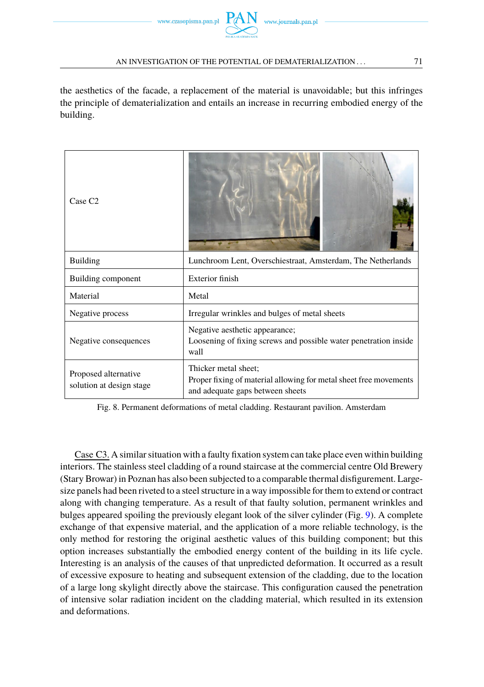the aesthetics of the facade, a replacement of the material is unavoidable; but this infringes the principle of dematerialization and entails an increase in recurring embodied energy of the building.

<span id="page-12-0"></span>

| Case C <sub>2</sub>                              |                                                                                                                               |
|--------------------------------------------------|-------------------------------------------------------------------------------------------------------------------------------|
| <b>Building</b>                                  | Lunchroom Lent, Overschiestraat, Amsterdam, The Netherlands                                                                   |
| Building component                               | Exterior finish                                                                                                               |
| Material                                         | Metal                                                                                                                         |
| Negative process                                 | Irregular wrinkles and bulges of metal sheets                                                                                 |
| Negative consequences                            | Negative aesthetic appearance;<br>Loosening of fixing screws and possible water penetration inside<br>wall                    |
| Proposed alternative<br>solution at design stage | Thicker metal sheet;<br>Proper fixing of material allowing for metal sheet free movements<br>and adequate gaps between sheets |

Fig. 8. Permanent deformations of metal cladding. Restaurant pavilion. Amsterdam

Case C3. A similar situation with a faulty fixation system can take place even within building interiors. The stainless steel cladding of a round staircase at the commercial centre Old Brewery (Stary Browar) in Poznan has also been subjected to a comparable thermal disfigurement. Largesize panels had been riveted to a steel structure in a way impossible for them to extend or contract along with changing temperature. As a result of that faulty solution, permanent wrinkles and bulges appeared spoiling the previously elegant look of the silver cylinder (Fig. [9\)](#page-13-0). A complete exchange of that expensive material, and the application of a more reliable technology, is the only method for restoring the original aesthetic values of this building component; but this option increases substantially the embodied energy content of the building in its life cycle. Interesting is an analysis of the causes of that unpredicted deformation. It occurred as a result of excessive exposure to heating and subsequent extension of the cladding, due to the location of a large long skylight directly above the staircase. This configuration caused the penetration of intensive solar radiation incident on the cladding material, which resulted in its extension and deformations.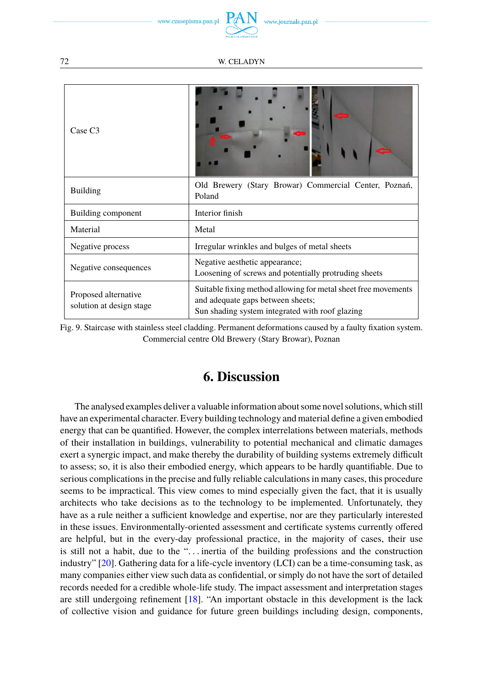www.czasopisma.pan.pl

<span id="page-13-0"></span>

| Case C <sub>3</sub>                              |                                                                                                                                                        |
|--------------------------------------------------|--------------------------------------------------------------------------------------------------------------------------------------------------------|
| <b>Building</b>                                  | Old Brewery (Stary Browar) Commercial Center, Poznań,<br>Poland                                                                                        |
| Building component                               | Interior finish                                                                                                                                        |
| Material                                         | Metal                                                                                                                                                  |
| Negative process                                 | Irregular wrinkles and bulges of metal sheets                                                                                                          |
| Negative consequences                            | Negative aesthetic appearance;<br>Loosening of screws and potentially protruding sheets                                                                |
| Proposed alternative<br>solution at design stage | Suitable fixing method allowing for metal sheet free movements<br>and adequate gaps between sheets;<br>Sun shading system integrated with roof glazing |

Fig. 9. Staircase with stainless steel cladding. Permanent deformations caused by a faulty fixation system. Commercial centre Old Brewery (Stary Browar), Poznan

### **6. Discussion**

The analysed examples deliver a valuable information about some novel solutions, which still have an experimental character. Every building technology and material define a given embodied energy that can be quantified. However, the complex interrelations between materials, methods of their installation in buildings, vulnerability to potential mechanical and climatic damages exert a synergic impact, and make thereby the durability of building systems extremely difficult to assess; so, it is also their embodied energy, which appears to be hardly quantifiable. Due to serious complications in the precise and fully reliable calculations in many cases, this procedure seems to be impractical. This view comes to mind especially given the fact, that it is usually architects who take decisions as to the technology to be implemented. Unfortunately, they have as a rule neither a sufficient knowledge and expertise, nor are they particularly interested in these issues. Environmentally-oriented assessment and certificate systems currently offered are helpful, but in the every-day professional practice, in the majority of cases, their use is still not a habit, due to the ". . . inertia of the building professions and the construction industry" [\[20\]](#page-16-11). Gathering data for a life-cycle inventory (LCI) can be a time-consuming task, as many companies either view such data as confidential, or simply do not have the sort of detailed records needed for a credible whole-life study. The impact assessment and interpretation stages are still undergoing refinement [\[18\]](#page-16-9). "An important obstacle in this development is the lack of collective vision and guidance for future green buildings including design, components,

72 W. CELADYN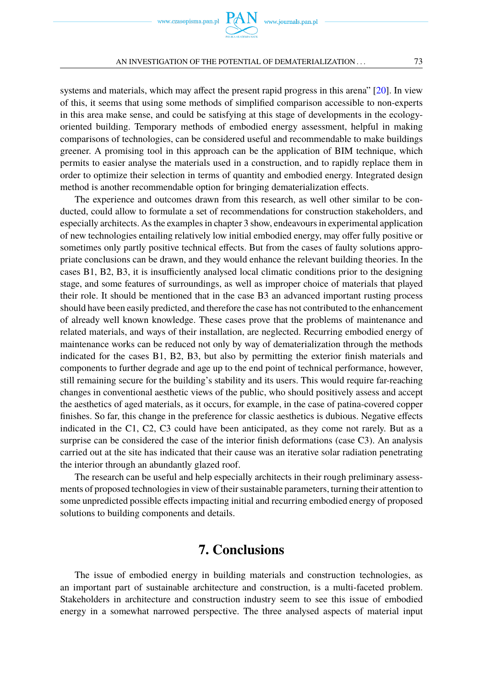

systems and materials, which may affect the present rapid progress in this arena" [\[20\]](#page-16-11). In view of this, it seems that using some methods of simplified comparison accessible to non-experts in this area make sense, and could be satisfying at this stage of developments in the ecologyoriented building. Temporary methods of embodied energy assessment, helpful in making comparisons of technologies, can be considered useful and recommendable to make buildings greener. A promising tool in this approach can be the application of BIM technique, which permits to easier analyse the materials used in a construction, and to rapidly replace them in order to optimize their selection in terms of quantity and embodied energy. Integrated design method is another recommendable option for bringing dematerialization effects.

The experience and outcomes drawn from this research, as well other similar to be conducted, could allow to formulate a set of recommendations for construction stakeholders, and especially architects. As the examples in chapter 3 show, endeavours in experimental application of new technologies entailing relatively low initial embodied energy, may offer fully positive or sometimes only partly positive technical effects. But from the cases of faulty solutions appropriate conclusions can be drawn, and they would enhance the relevant building theories. In the cases B1, B2, B3, it is insufficiently analysed local climatic conditions prior to the designing stage, and some features of surroundings, as well as improper choice of materials that played their role. It should be mentioned that in the case B3 an advanced important rusting process should have been easily predicted, and therefore the case has not contributed to the enhancement of already well known knowledge. These cases prove that the problems of maintenance and related materials, and ways of their installation, are neglected. Recurring embodied energy of maintenance works can be reduced not only by way of dematerialization through the methods indicated for the cases B1, B2, B3, but also by permitting the exterior finish materials and components to further degrade and age up to the end point of technical performance, however, still remaining secure for the building's stability and its users. This would require far-reaching changes in conventional aesthetic views of the public, who should positively assess and accept the aesthetics of aged materials, as it occurs, for example, in the case of patina-covered copper finishes. So far, this change in the preference for classic aesthetics is dubious. Negative effects indicated in the C1, C2, C3 could have been anticipated, as they come not rarely. But as a surprise can be considered the case of the interior finish deformations (case C3). An analysis carried out at the site has indicated that their cause was an iterative solar radiation penetrating the interior through an abundantly glazed roof.

The research can be useful and help especially architects in their rough preliminary assessments of proposed technologies in view of their sustainable parameters, turning their attention to some unpredicted possible effects impacting initial and recurring embodied energy of proposed solutions to building components and details.

### **7. Conclusions**

The issue of embodied energy in building materials and construction technologies, as an important part of sustainable architecture and construction, is a multi-faceted problem. Stakeholders in architecture and construction industry seem to see this issue of embodied energy in a somewhat narrowed perspective. The three analysed aspects of material input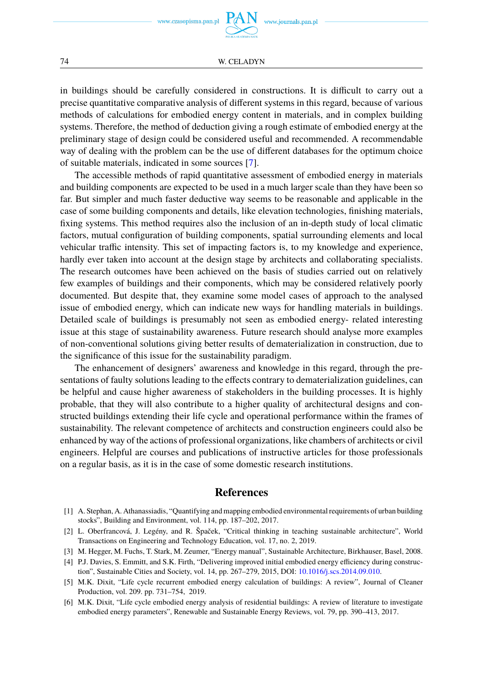in buildings should be carefully considered in constructions. It is difficult to carry out a precise quantitative comparative analysis of different systems in this regard, because of various methods of calculations for embodied energy content in materials, and in complex building systems. Therefore, the method of deduction giving a rough estimate of embodied energy at the preliminary stage of design could be considered useful and recommended. A recommendable way of dealing with the problem can be the use of different databases for the optimum choice of suitable materials, indicated in some sources [\[7\]](#page-16-0).

The accessible methods of rapid quantitative assessment of embodied energy in materials and building components are expected to be used in a much larger scale than they have been so far. But simpler and much faster deductive way seems to be reasonable and applicable in the case of some building components and details, like elevation technologies, finishing materials, fixing systems. This method requires also the inclusion of an in-depth study of local climatic factors, mutual configuration of building components, spatial surrounding elements and local vehicular traffic intensity. This set of impacting factors is, to my knowledge and experience, hardly ever taken into account at the design stage by architects and collaborating specialists. The research outcomes have been achieved on the basis of studies carried out on relatively few examples of buildings and their components, which may be considered relatively poorly documented. But despite that, they examine some model cases of approach to the analysed issue of embodied energy, which can indicate new ways for handling materials in buildings. Detailed scale of buildings is presumably not seen as embodied energy- related interesting issue at this stage of sustainability awareness. Future research should analyse more examples of non-conventional solutions giving better results of dematerialization in construction, due to the significance of this issue for the sustainability paradigm.

The enhancement of designers' awareness and knowledge in this regard, through the presentations of faulty solutions leading to the effects contrary to dematerialization guidelines, can be helpful and cause higher awareness of stakeholders in the building processes. It is highly probable, that they will also contribute to a higher quality of architectural designs and constructed buildings extending their life cycle and operational performance within the frames of sustainability. The relevant competence of architects and construction engineers could also be enhanced by way of the actions of professional organizations, like chambers of architects or civil engineers. Helpful are courses and publications of instructive articles for those professionals on a regular basis, as it is in the case of some domestic research institutions.

#### **References**

- <span id="page-15-0"></span>[1] A. Stephan, A. Athanassiadis, "Quantifying and mapping embodied environmental requirements of urban building stocks", Building and Environment, vol. 114, pp. 187–202, 2017.
- <span id="page-15-1"></span>[2] L. Oberfrancová, J. Legény, and R. Špaček, "Critical thinking in teaching sustainable architecture", World Transactions on Engineering and Technology Education, vol. 17, no. 2, 2019.
- <span id="page-15-2"></span>[3] M. Hegger, M. Fuchs, T. Stark, M. Zeumer, "Energy manual", Sustainable Architecture, Birkhauser, Basel, 2008.
- <span id="page-15-3"></span>[4] P.J. Davies, S. Emmitt, and S.K. Firth, "Delivering improved initial embodied energy efficiency during construction", Sustainable Cities and Society, vol. 14, pp. 267–279, 2015, DOI: [10.1016/j.scs.2014.09.010.](https://doi.org/10.1016/j.scs.2014.09.010)
- <span id="page-15-4"></span>[5] M.K. Dixit, "Life cycle recurrent embodied energy calculation of buildings: A review", Journal of Cleaner Production, vol. 209. pp. 731–754, 2019.
- <span id="page-15-5"></span>[6] M.K. Dixit, "Life cycle embodied energy analysis of residential buildings: A review of literature to investigate embodied energy parameters", Renewable and Sustainable Energy Reviews, vol. 79, pp. 390–413, 2017.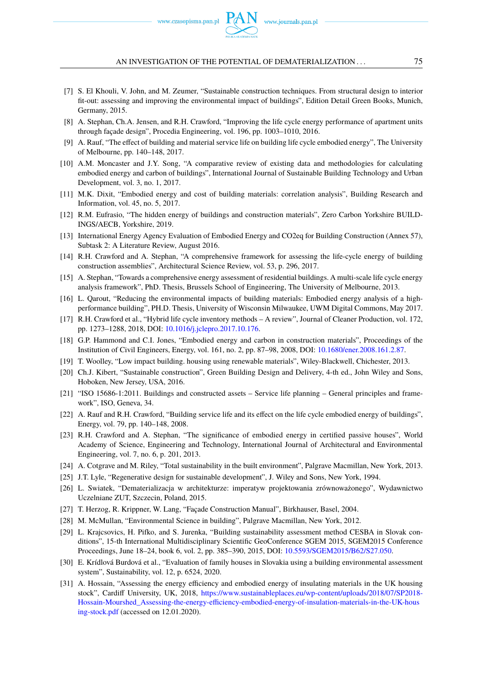www.czasopisma.pan.pl  $P_{\ell}$ 

#### AN INVESTIGATION OF THE POTENTIAL OF DEMATERIALIZATION . . .  $\hspace{1.5cm} 75$

- <span id="page-16-0"></span>[7] S. El Khouli, V. John, and M. Zeumer, "Sustainable construction techniques. From structural design to interior fit-out: assessing and improving the environmental impact of buildings", Edition Detail Green Books, Munich, Germany, 2015.
- <span id="page-16-1"></span>[8] A. Stephan, Ch.A. Jensen, and R.H. Crawford, "Improving the life cycle energy performance of apartment units through façade design", Procedia Engineering, vol. 196, pp. 1003–1010, 2016.
- <span id="page-16-2"></span>[9] A. Rauf, "The effect of building and material service life on building life cycle embodied energy", The University of Melbourne, pp. 140–148, 2017.
- <span id="page-16-3"></span>[10] A.M. Moncaster and J.Y. Song, "A comparative review of existing data and methodologies for calculating embodied energy and carbon of buildings", International Journal of Sustainable Building Technology and Urban Development, vol. 3, no. 1, 2017.
- [11] M.K. Dixit, "Embodied energy and cost of building materials: correlation analysis", Building Research and Information, vol. 45, no. 5, 2017.
- <span id="page-16-4"></span>[12] R.M. Eufrasio, "The hidden energy of buildings and construction materials", Zero Carbon Yorkshire BUILD-INGS/AECB, Yorkshire, 2019.
- <span id="page-16-5"></span>[13] International Energy Agency Evaluation of Embodied Energy and CO2eq for Building Construction (Annex 57), Subtask 2: A Literature Review, August 2016.
- [14] R.H. Crawford and A. Stephan, "A comprehensive framework for assessing the life-cycle energy of building construction assemblies", Architectural Science Review, vol. 53, p. 296, 2017.
- <span id="page-16-6"></span>[15] A. Stephan, "Towards a comprehensive energy assessment of residential buildings. A multi-scale life cycle energy analysis framework", PhD. Thesis, Brussels School of Engineering, The University of Melbourne, 2013.
- <span id="page-16-7"></span>[16] L. Qarout, "Reducing the environmental impacts of building materials: Embodied energy analysis of a highperformance building", PH.D. Thesis, University of Wisconsin Milwaukee, UWM Digital Commons, May 2017.
- <span id="page-16-8"></span>[17] R.H. Crawford et al., "Hybrid life cycle inventory methods – A review", Journal of Cleaner Production, vol. 172, pp. 1273–1288, 2018, DOI: [10.1016/j.jclepro.2017.10.176.](https://doi.org/10.1016/j.jclepro.2017.10.176)
- <span id="page-16-9"></span>[18] G.P. Hammond and C.I. Jones, "Embodied energy and carbon in construction materials", Proceedings of the Institution of Civil Engineers, Energy, vol. 161, no. 2, pp. 87–98, 2008, DOI: [10.1680/ener.2008.161.2.87.](https://doi.org/10.1680/ener.2008.161.2.87)
- <span id="page-16-10"></span>[19] T. Woolley, "Low impact building. housing using renewable materials", Wiley-Blackwell, Chichester, 2013.
- <span id="page-16-11"></span>[20] Ch.J. Kibert, "Sustainable construction", Green Building Design and Delivery, 4-th ed., John Wiley and Sons, Hoboken, New Jersey, USA, 2016.
- <span id="page-16-12"></span>[21] "ISO 15686-1:2011. Buildings and constructed assets – Service life planning – General principles and framework", ISO, Geneva, 34.
- <span id="page-16-13"></span>[22] A. Rauf and R.H. Crawford, "Building service life and its effect on the life cycle embodied energy of buildings", Energy, vol. 79, pp. 140–148, 2008.
- <span id="page-16-14"></span>[23] R.H. Crawford and A. Stephan, "The significance of embodied energy in certified passive houses", World Academy of Science, Engineering and Technology, International Journal of Architectural and Environmental Engineering, vol. 7, no. 6, p. 201, 2013.
- <span id="page-16-15"></span>[24] A. Cotgrave and M. Riley, "Total sustainability in the built environment", Palgrave Macmillan, New York, 2013.
- <span id="page-16-16"></span>[25] J.T. Lyle, "Regenerative design for sustainable development", J. Wiley and Sons, New York, 1994.
- <span id="page-16-17"></span>[26] L. Swiatek, "Dematerializacja w architekturze: imperatyw projektowania zrównoważonego", Wydawnictwo Uczelniane ZUT, Szczecin, Poland, 2015.
- <span id="page-16-18"></span>[27] T. Herzog, R. Krippner, W. Lang, "Façade Construction Manual", Birkhauser, Basel, 2004.
- <span id="page-16-19"></span>[28] M. McMullan, "Environmental Science in building", Palgrave Macmillan, New York, 2012.
- <span id="page-16-20"></span>[29] L. Krajcsovics, H. Pifko, and S. Jurenka, "Building sustainability assessment method CESBA in Slovak conditions", 15-th International Multidisciplinary Scientific GeoConference SGEM 2015, SGEM2015 Conference Proceedings, June 18–24, book 6, vol. 2, pp. 385–390, 2015, DOI: [10.5593/SGEM2015/B62/S27.050.](https://doi.org/10.5593/SGEM2015/B62/S27.050)
- <span id="page-16-21"></span>[30] E. Krídlová Burdová et al., "Evaluation of family houses in Slovakia using a building environmental assessment system", Sustainability, vol. 12, p. 6524, 2020.
- <span id="page-16-22"></span>[31] A. Hossain, "Assessing the energy efficiency and embodied energy of insulating materials in the UK housing stock", Cardiff University, UK, 2018, [https://www.sustainableplaces.eu/wp-content/uploads/2018/07/SP2018-](https://www.sustainableplaces.eu/wp-content/uploads/2018/07/SP2018-Hossain-Mourshed_Assessing-the-energy-efficiency-embodied-energy-of-insulation-materials-in-the-UK-housing-stock.pdf) [Hossain-Mourshed\\_Assessing-the-energy-efficiency-embodied-energy-of-insulation-materials-in-the-UK-hous](https://www.sustainableplaces.eu/wp-content/uploads/2018/07/SP2018-Hossain-Mourshed_Assessing-the-energy-efficiency-embodied-energy-of-insulation-materials-in-the-UK-housing-stock.pdf) [ing-stock.pdf](https://www.sustainableplaces.eu/wp-content/uploads/2018/07/SP2018-Hossain-Mourshed_Assessing-the-energy-efficiency-embodied-energy-of-insulation-materials-in-the-UK-housing-stock.pdf) (accessed on 12.01.2020).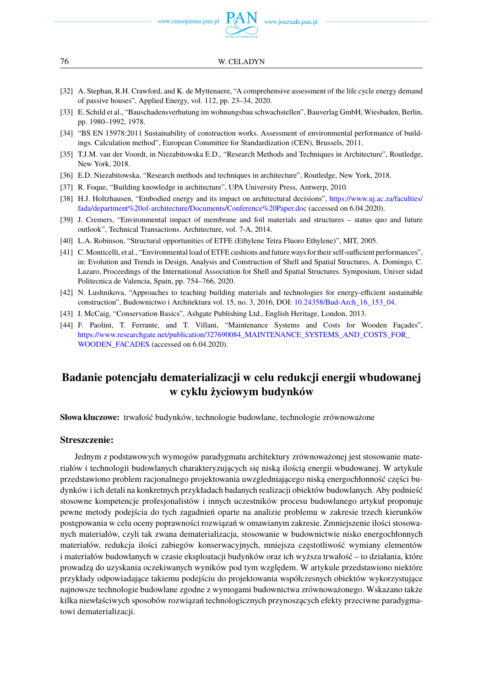

- <span id="page-17-1"></span>[32] A. Stephan, R.H. Crawford, and K. de Myttenaere, "A comprehensive assessment of the life cycle energy demand of passive houses", Applied Energy, vol. 112, pp. 23–34, 2020.
- <span id="page-17-2"></span>[33] E. Schild et al., "Bauschadensverhutung im wohnungsbau schwachstellen", Bauverlag GmbH, Wiesbaden, Berlin, pp. 1980–1992, 1978.
- <span id="page-17-3"></span>[34] "BS EN 15978:2011 Sustainability of construction works. Assessment of environmental performance of buildings. Calculation method", European Committee for Standardization (CEN), Brussels, 2011.
- <span id="page-17-4"></span>[35] T.J.M. van der Voordt, in Niezabitowska E.D., "Research Methods and Techniques in Architecture", Routledge, New York, 2018.
- <span id="page-17-5"></span>[36] E.D. Niezabitowska, "Research methods and techniques in architecture", Routledge, New York, 2018.
- <span id="page-17-6"></span>[37] R. Foque, "Building knowledge in architecture", UPA University Press, Antwerp, 2010.
- <span id="page-17-7"></span>[38] H.J. Holtzhausen, "Embodied energy and its impact on architectural decisions", [https://www.uj.ac.za/faculties/](https://www.uj.ac.za/faculties/fada/department{%}20of-architecture/Documents/Conference{%}20Paper.doc) [fada/department%20of-architecture/Documents/Conference%20Paper.doc](https://www.uj.ac.za/faculties/fada/department{%}20of-architecture/Documents/Conference{%}20Paper.doc) (accessed on 6.04.2020).
- <span id="page-17-8"></span>[39] J. Cremers, "Environmental impact of membrane and foil materials and structures – status quo and future outlook", Technical Transactions. Architecture, vol. 7-A, 2014.
- <span id="page-17-9"></span>[40] L.A. Robinson, "Structural opportunities of ETFE (Ethylene Tetra Fluoro Ethylene)", MIT, 2005.
- <span id="page-17-10"></span>[41] C. Monticelli, et al., "Environmental load of ETFE cushions and future ways for their self-sufficient performances", in: Evolution and Trends in Design, Analysis and Construction of Shell and Spatial Structures, A. Domingo, C. Lazaro, Proceedings of the International Association for Shell and Spatial Structures. Symposium, Univer sidad Politecnica de Valencia, Spain, pp. 754–766, 2020.
- <span id="page-17-11"></span>[42] N. Lushnikova, "Approaches to teaching building materials and technologies for energy-efficient sustainable construction", Budownictwo i Architektura vol. 15, no. 3, 2016, DOI: [10.24358/Bud-Arch\\_16\\_153\\_04.](https://doi.org/10.24358/Bud-Arch_16_153_04)
- <span id="page-17-12"></span>[43] I. McCaig, "Conservation Basics", Ashgate Publishing Ltd., English Heritage, London, 2013.
- <span id="page-17-13"></span>[44] F. Paolini, T. Ferrante, and T. Villani, "Maintenance Systems and Costs for Wooden Façades", [https://www.researchgate.net/publication/327690084\\_MAINTENANCE\\_SYSTEMS\\_AND\\_COSTS\\_FOR\\_](https://www.researchgate.net/publication/327690084_MAINTENANCE_SYSTEMS_AND_COSTS_FOR_WOODEN_FACADES) [WOODEN\\_FACADES](https://www.researchgate.net/publication/327690084_MAINTENANCE_SYSTEMS_AND_COSTS_FOR_WOODEN_FACADES) (accessed on 6.04.2020).

### <span id="page-17-0"></span>**Badanie potencjału dematerializacji w celu redukcji energii wbudowanej w cyklu życiowym budynków**

**Słowa kluczowe:** trwałość budynków, technologie budowlane, technologie zrównoważone

#### **Streszczenie:**

Jednym z podstawowych wymogów paradygmatu architektury zrównoważonej jest stosowanie materiałów i technologii budowlanych charakteryzujących się niską ilością energii wbudowanej. W artykule przedstawiono problem racjonalnego projektowania uwzgledniającego niską energochłonność części budynków i ich detali na konkretnych przykładach badanych realizacji obiektów budowlanych. Aby podnieść stosowne kompetencje profesjonalistów i innych uczestników procesu budowlanego artykuł proponuje pewne metody podejścia do tych zagadnień oparte na analizie problemu w zakresie trzech kierunków postępowania w celu oceny poprawności rozwiązań w omawianym zakresie. Zmniejszenie ilości stosowanych materiałów, czyli tak zwana dematerializacja, stosowanie w budownictwie nisko energochłonnych materiałów, redukcja ilości zabiegów konserwacyjnych, mniejsza częstotliwość wymiany elementów i materiałów budowlanych w czasie eksploatacji budynków oraz ich wyższa trwałość – to działania, które prowadza do uzyskania oczekiwanych wyników pod tym wzgledem. W artykule przedstawiono niektóre przykłady odpowiadające takiemu podejściu do projektowania współczesnych obiektów wykorzystujące najnowsze technologie budowlane zgodne z wymogami budownictwa zrównoważonego. Wskazano także kilka niewłaściwych sposobów rozwiązań technologicznych przynoszących efekty przeciwne paradygmatowi dematerializacji.